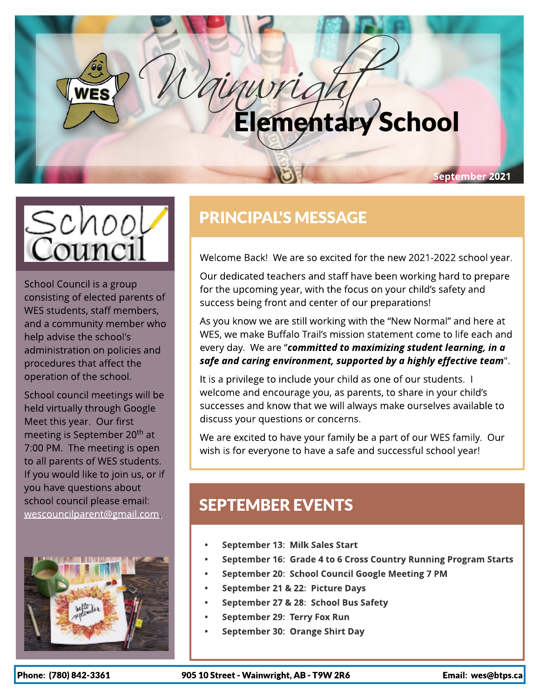# [Wainwright](https://unsplash.com/photos/3kBtYrZ0-hw) Elementary School





School Council is a group consisting of elected parents of WES students, staff members, and a community member who help advise the school's administration on policies and procedures that affect the operation of the school.

School council meetings will be held virtually through Google Meet this year. Our first meeting is September 20<sup>th</sup> at 7:00 PM. The meeting is open to all parents of WES students. If you would like to join us, or if you have questions about school council please email: [wescouncilparent@gmail.com](mailto:wescouncilparent@gmail.com).



## PRINCIPAL'S MESSAGE

Welcome Back! We are so excited for the new 2021-2022 school year.

Our dedicated teachers and staff have been working hard to prepare for the upcoming year, with the focus on your child's safety and success being front and center of our preparations!

As you know we are still working with the "New Normal" and here at WES, we make Buffalo Trail?s mission statement come to life each and every day. We are ?**committed to maximizing student learning, in a safe and caring environment, supported by a highly effective team**".

It is a privilege to include your child as one of our students. I welcome and encourage you, as parents, to share in your child's successes and know that we will always make ourselves available to discuss your questions or concerns.

We are excited to have your family be a part of our WES family. Our wish is for everyone to have a safe and successful school year!

## **SEPTEMBER EVENTS**

- Septem ber 13: Milk Sales Start
- September 16: Grade 4 to 6 Cross Country Running Program Starts
- September 20: School Council Google Meeting 7 PM
- September 21 & 22: Picture Days
- September 27 & 28: School Bus Safety
- September 29: Terry Fox Run
- September 30: Orange Shirt Day

Phone: (780) 842-3361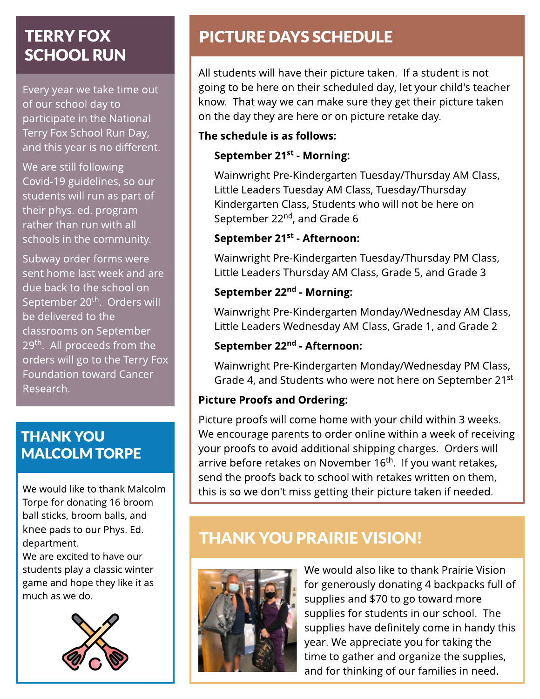#### $T$ FRAV $I$ Fov TERRY FOX SCHOOL RUN

Every year we take time out of our school day to participate in the National Terry Fox School Run Day, and this year is no different.

We are still following Covid-19 guidelines, so our students will run as part of their phys. ed. program rather than run with all schools in the community.

Subway order forms were sent home last week and are due back to the school on September 20<sup>th</sup>. Orders will be delivered to the classrooms on September 29<sup>th</sup>. All proceeds from the orders will go to the Terry Fox Foundation toward Cancer Research.

### THANK YOU MALCOLM TORPE

We would like to thank Malcolm Torpe for donating 16 broom ball sticks, broom balls, and knee pads to our Phys. Ed. department.

We are excited to have our students play a classic winter game and hope they like it as much as we do.



## PICTURE DAYS SCHEDULE

All students will have their picture taken. If a student is not going to be here on their scheduled day, let your child's teacher know. That way we can make sure they get their picture taken on the day they are here or on picture retake day.

#### The schedule is as follows:

#### September 21<sup>st</sup> - Morning:

Wainwright Pre-Kindergarten Tuesday/Thursday AM Class, Little Leaders Tuesday AM Class, Tuesday/Thursday Kindergarten Class, Students who will not be here on September 22<sup>nd</sup>, and Grade 6

#### September 21<sup>st</sup> - Afternoon:

Wainwright Pre-Kindergarten Tuesday/Thursday PM Class, Little Leaders Thursday AM Class, Grade 5, and Grade 3

#### September 22<sup>nd</sup> - Morning:

Wainwright Pre-Kindergarten Monday/Wednesday AM Class, Little Leaders Wednesday AM Class, Grade 1, and Grade 2

#### September 22<sup>nd</sup> - Afternoon:

Wainwright Pre-Kindergarten Monday/Wednesday PM Class, Grade 4, and Students who were not here on September 21st

#### Picture Proofs and Ordering:

Picture proofs will come home with your child within 3 weeks. We encourage parents to order online within a week of receiving your proofs to avoid additional shipping charges. Orders will arrive before retakes on November 16<sup>th</sup>. If you want retakes, send the proofs back to school with retakes written on them, this is so we don't miss getting their picture taken if needed.

## **THANK YOU PRAIRIE VISION!**



We would also like to thank Prairie Vision for generously donating 4 backpacks full of supplies and \$70 to go toward more supplies for students in our school. The supplies have definitely come in handy this year. We appreciate you for taking the time to gather and organize the supplies, and for thinking of our families in need.